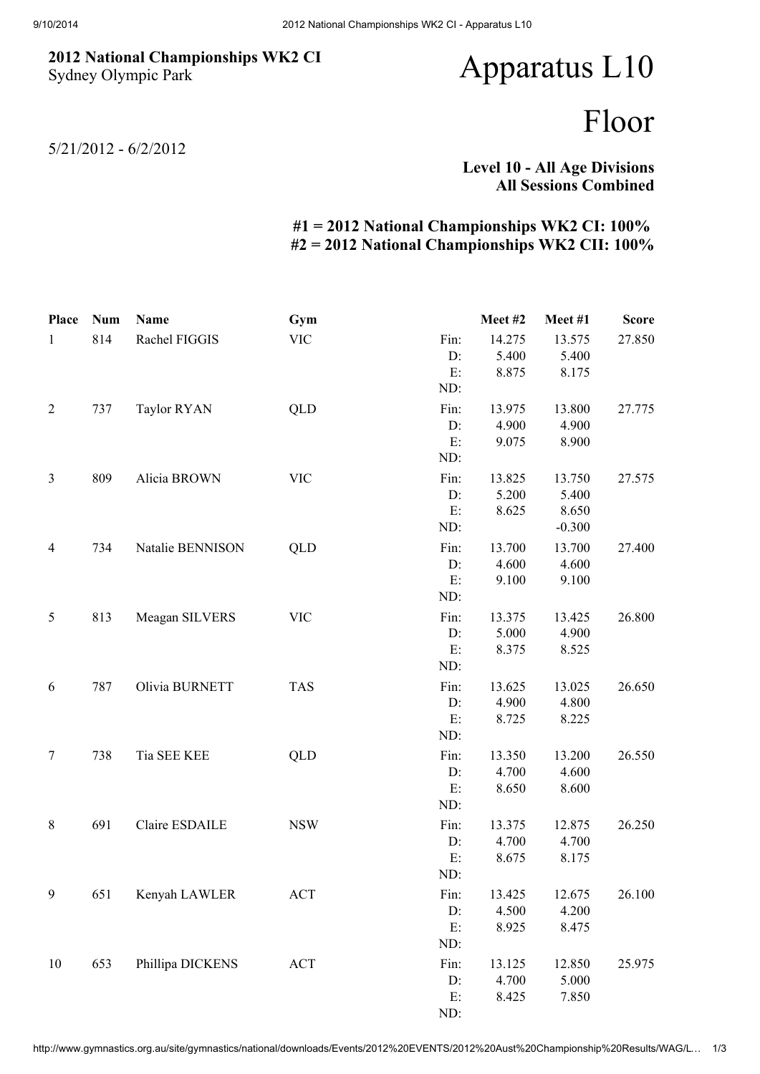## 2012 National Championships WK2 CI Sydney Olympic Park

## Apparatus L10

## Floor

5/21/2012 - 6/2/2012

Level 10 - All Age Divisions All Sessions Combined

## #1 = 2012 National Championships WK2 CI: 100% #2 = 2012 National Championships WK2 CII: 100%

| <b>Place</b>   | <b>Num</b> | Name                  | Gym        |      | Meet#2 | Meet#1   | <b>Score</b> |
|----------------|------------|-----------------------|------------|------|--------|----------|--------------|
| $\mathbf{1}$   | 814        | Rachel FIGGIS         | <b>VIC</b> | Fin: | 14.275 | 13.575   | 27.850       |
|                |            |                       |            | D:   | 5.400  | 5.400    |              |
|                |            |                       |            | E:   | 8.875  | 8.175    |              |
|                |            |                       |            | ND:  |        |          |              |
| $\overline{2}$ | 737        | <b>Taylor RYAN</b>    | <b>QLD</b> | Fin: | 13.975 | 13.800   | 27.775       |
|                |            |                       |            | D:   | 4.900  | 4.900    |              |
|                |            |                       |            | E:   | 9.075  | 8.900    |              |
|                |            |                       |            | ND:  |        |          |              |
| $\mathfrak{Z}$ | 809        | Alicia BROWN          | <b>VIC</b> | Fin: | 13.825 | 13.750   | 27.575       |
|                |            |                       |            | D:   | 5.200  | 5.400    |              |
|                |            |                       |            | E:   | 8.625  | 8.650    |              |
|                |            |                       |            | ND:  |        | $-0.300$ |              |
| $\overline{4}$ | 734        | Natalie BENNISON      | QLD        | Fin: | 13.700 | 13.700   | 27.400       |
|                |            |                       |            | D:   | 4.600  | 4.600    |              |
|                |            |                       |            | E:   | 9.100  | 9.100    |              |
|                |            |                       |            | ND:  |        |          |              |
| 5              | 813        | Meagan SILVERS        | <b>VIC</b> | Fin: | 13.375 | 13.425   | 26.800       |
|                |            |                       |            | D:   | 5.000  | 4.900    |              |
|                |            |                       |            | E:   | 8.375  | 8.525    |              |
|                |            |                       |            | ND:  |        |          |              |
| 6              | 787        | Olivia BURNETT        | <b>TAS</b> | Fin: | 13.625 | 13.025   | 26.650       |
|                |            |                       |            | D:   | 4.900  | 4.800    |              |
|                |            |                       |            | E:   | 8.725  | 8.225    |              |
|                |            |                       |            | ND:  |        |          |              |
| $\tau$         | 738        | Tia SEE KEE           | QLD        | Fin: | 13.350 | 13.200   | 26.550       |
|                |            |                       |            | D:   | 4.700  | 4.600    |              |
|                |            |                       |            | E:   | 8.650  | 8.600    |              |
|                |            |                       |            | ND:  |        |          |              |
| $8\,$          | 691        | <b>Claire ESDAILE</b> | <b>NSW</b> | Fin: | 13.375 | 12.875   | 26.250       |
|                |            |                       |            | D:   | 4.700  | 4.700    |              |
|                |            |                       |            | E:   | 8.675  | 8.175    |              |
|                |            |                       |            | ND:  |        |          |              |
| 9              | 651        | Kenyah LAWLER         | <b>ACT</b> | Fin: | 13.425 | 12.675   | 26.100       |
|                |            |                       |            | D:   | 4.500  | 4.200    |              |
|                |            |                       |            | E:   | 8.925  | 8.475    |              |
|                |            |                       |            | ND:  |        |          |              |
| 10             | 653        | Phillipa DICKENS      | <b>ACT</b> | Fin: | 13.125 | 12.850   | 25.975       |
|                |            |                       |            | D:   | 4.700  | 5.000    |              |
|                |            |                       |            | E:   | 8.425  | 7.850    |              |
|                |            |                       |            | ND:  |        |          |              |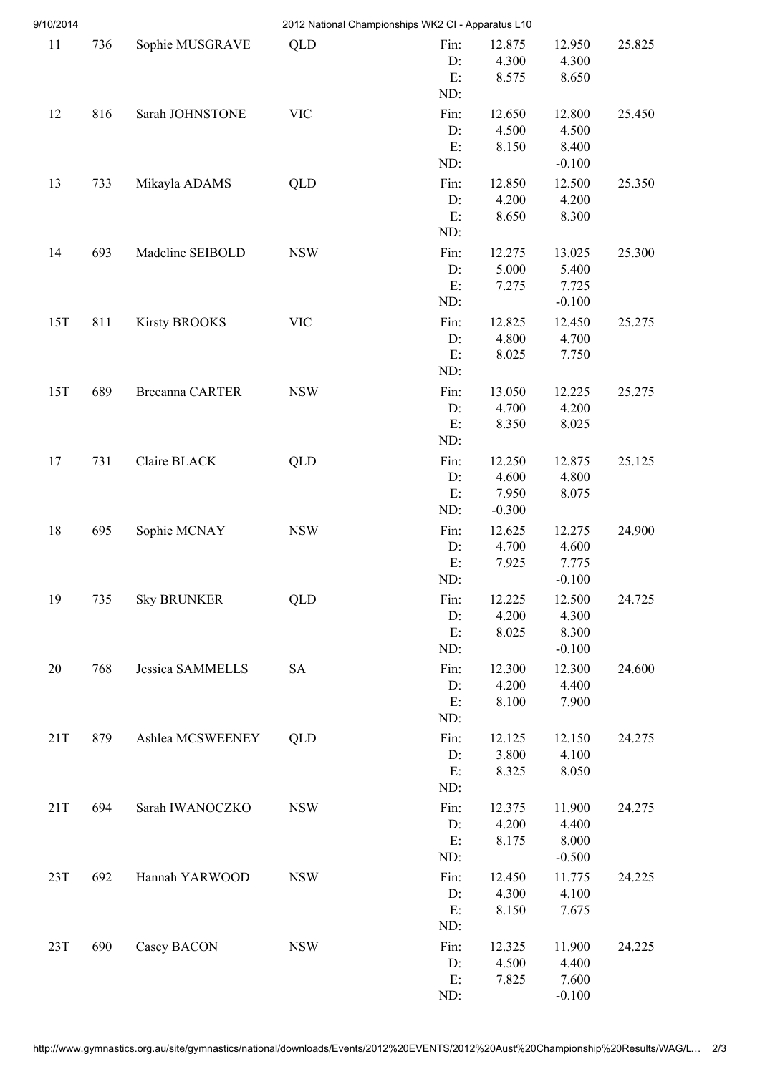| 9/10/2014 |     |                         |            | 2012 National Championships WK2 CI - Apparatus L10 |                                      |                                      |        |
|-----------|-----|-------------------------|------------|----------------------------------------------------|--------------------------------------|--------------------------------------|--------|
| 11        | 736 | Sophie MUSGRAVE         | QLD        | Fin:<br>D:<br>E:<br>ND:                            | 12.875<br>4.300<br>8.575             | 12.950<br>4.300<br>8.650             | 25.825 |
| 12        | 816 | Sarah JOHNSTONE         | <b>VIC</b> | Fin:<br>D:<br>E:<br>ND:                            | 12.650<br>4.500<br>8.150             | 12.800<br>4.500<br>8.400<br>$-0.100$ | 25.450 |
| 13        | 733 | Mikayla ADAMS           | QLD        | Fin:<br>D:<br>E:<br>ND:                            | 12.850<br>4.200<br>8.650             | 12.500<br>4.200<br>8.300             | 25.350 |
| 14        | 693 | Madeline SEIBOLD        | <b>NSW</b> | Fin:<br>D:<br>E:<br>ND:                            | 12.275<br>5.000<br>7.275             | 13.025<br>5.400<br>7.725<br>$-0.100$ | 25.300 |
| 15T       | 811 | <b>Kirsty BROOKS</b>    | <b>VIC</b> | Fin:<br>D:<br>E:<br>ND:                            | 12.825<br>4.800<br>8.025             | 12.450<br>4.700<br>7.750             | 25.275 |
| 15T       | 689 | Breeanna CARTER         | <b>NSW</b> | Fin:<br>D:<br>E:<br>ND:                            | 13.050<br>4.700<br>8.350             | 12.225<br>4.200<br>8.025             | 25.275 |
| 17        | 731 | Claire BLACK            | QLD        | Fin:<br>D:<br>E:<br>ND:                            | 12.250<br>4.600<br>7.950<br>$-0.300$ | 12.875<br>4.800<br>8.075             | 25.125 |
| 18        | 695 | Sophie MCNAY            | <b>NSW</b> | Fin:<br>D:<br>E:<br>ND:                            | 12.625<br>4.700<br>7.925             | 12.275<br>4.600<br>7.775<br>$-0.100$ | 24.900 |
| 19        | 735 | <b>Sky BRUNKER</b>      | QLD        | Fin:<br>D:<br>E:<br>ND:                            | 12.225<br>4.200<br>8.025             | 12.500<br>4.300<br>8.300<br>$-0.100$ | 24.725 |
| 20        | 768 | <b>Jessica SAMMELLS</b> | <b>SA</b>  | Fin:<br>D:<br>E:<br>ND:                            | 12.300<br>4.200<br>8.100             | 12.300<br>4.400<br>7.900             | 24.600 |
| 21T       | 879 | Ashlea MCSWEENEY        | QLD        | Fin:<br>D:<br>E:<br>ND:                            | 12.125<br>3.800<br>8.325             | 12.150<br>4.100<br>8.050             | 24.275 |
| 21T       | 694 | Sarah IWANOCZKO         | <b>NSW</b> | Fin:<br>D:<br>E:<br>ND:                            | 12.375<br>4.200<br>8.175             | 11.900<br>4.400<br>8.000<br>$-0.500$ | 24.275 |
| 23T       | 692 | Hannah YARWOOD          | <b>NSW</b> | Fin:<br>D:<br>$E$ :<br>ND:                         | 12.450<br>4.300<br>8.150             | 11.775<br>4.100<br>7.675             | 24.225 |
| 23T       | 690 | Casey BACON             | <b>NSW</b> | Fin:<br>D:<br>E:<br>ND:                            | 12.325<br>4.500<br>7.825             | 11.900<br>4.400<br>7.600<br>$-0.100$ | 24.225 |